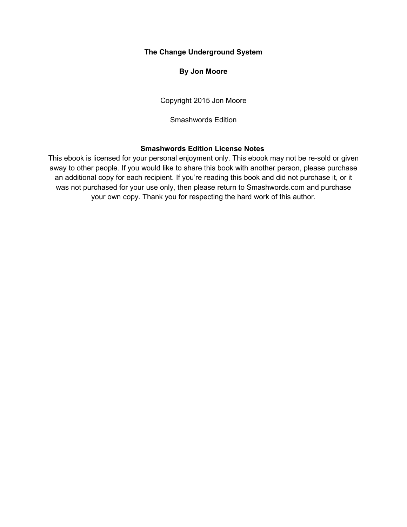#### **The Change Underground System**

#### **By Jon Moore**

Copyright 2015 Jon Moore

Smashwords Edition

#### **Smashwords Edition License Notes**

This ebook is licensed for your personal enjoyment only. This ebook may not be re-sold or given away to other people. If you would like to share this book with another person, please purchase an additional copy for each recipient. If you're reading this book and did not purchase it, or it was not purchased for your use only, then please return to Smashwords.com and purchase your own copy. Thank you for respecting the hard work of this author.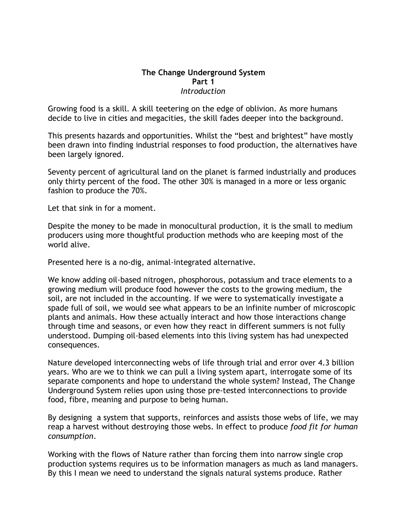#### **The Change Underground System Part 1** *Introduction*

Growing food is a skill. A skill teetering on the edge of oblivion. As more humans decide to live in cities and megacities, the skill fades deeper into the background.

This presents hazards and opportunities. Whilst the "best and brightest" have mostly been drawn into finding industrial responses to food production, the alternatives have been largely ignored.

Seventy percent of agricultural land on the planet is farmed industrially and produces only thirty percent of the food. The other 30% is managed in a more or less organic fashion to produce the 70%.

Let that sink in for a moment.

Despite the money to be made in monocultural production, it is the small to medium producers using more thoughtful production methods who are keeping most of the world alive.

Presented here is a no-dig, animal-integrated alternative.

We know adding oil-based nitrogen, phosphorous, potassium and trace elements to a growing medium will produce food however the costs to the growing medium, the soil, are not included in the accounting. If we were to systematically investigate a spade full of soil, we would see what appears to be an infinite number of microscopic plants and animals. How these actually interact and how those interactions change through time and seasons, or even how they react in different summers is not fully understood. Dumping oil-based elements into this living system has had unexpected consequences.

Nature developed interconnecting webs of life through trial and error over 4.3 billion years. Who are we to think we can pull a living system apart, interrogate some of its separate components and hope to understand the whole system? Instead, The Change Underground System relies upon using those pre-tested interconnections to provide food, fibre, meaning and purpose to being human.

By designing a system that supports, reinforces and assists those webs of life, we may reap a harvest without destroying those webs. In effect to produce *food fit for human consumption*.

Working with the flows of Nature rather than forcing them into narrow single crop production systems requires us to be information managers as much as land managers. By this I mean we need to understand the signals natural systems produce. Rather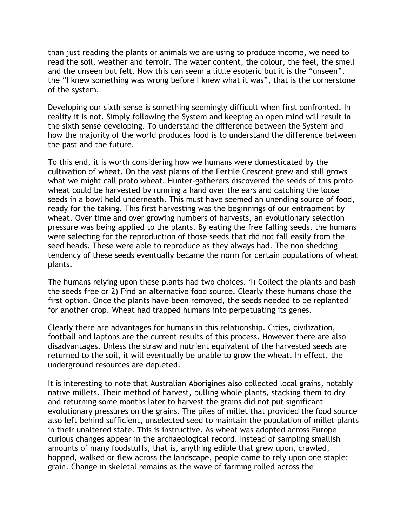than just reading the plants or animals we are using to produce income, we need to read the soil, weather and terroir. The water content, the colour, the feel, the smell and the unseen but felt. Now this can seem a little esoteric but it is the "unseen", the "I knew something was wrong before I knew what it was", that is the cornerstone of the system.

Developing our sixth sense is something seemingly difficult when first confronted. In reality it is not. Simply following the System and keeping an open mind will result in the sixth sense developing. To understand the difference between the System and how the majority of the world produces food is to understand the difference between the past and the future.

To this end, it is worth considering how we humans were domesticated by the cultivation of wheat. On the vast plains of the Fertile Crescent grew and still grows what we might call proto wheat. Hunter-gatherers discovered the seeds of this proto wheat could be harvested by running a hand over the ears and catching the loose seeds in a bowl held underneath. This must have seemed an unending source of food, ready for the taking. This first harvesting was the beginnings of our entrapment by wheat. Over time and over growing numbers of harvests, an evolutionary selection pressure was being applied to the plants. By eating the free falling seeds, the humans were selecting for the reproduction of those seeds that did not fall easily from the seed heads. These were able to reproduce as they always had. The non shedding tendency of these seeds eventually became the norm for certain populations of wheat plants.

The humans relying upon these plants had two choices. 1) Collect the plants and bash the seeds free or 2) Find an alternative food source. Clearly these humans chose the first option. Once the plants have been removed, the seeds needed to be replanted for another crop. Wheat had trapped humans into perpetuating its genes.

Clearly there are advantages for humans in this relationship. Cities, civilization, football and laptops are the current results of this process. However there are also disadvantages. Unless the straw and nutrient equivalent of the harvested seeds are returned to the soil, it will eventually be unable to grow the wheat. In effect, the underground resources are depleted.

It is interesting to note that Australian Aborigines also collected local grains, notably native millets. Their method of harvest, pulling whole plants, stacking them to dry and returning some months later to harvest the grains did not put significant evolutionary pressures on the grains. The piles of millet that provided the food source also left behind sufficient, unselected seed to maintain the population of millet plants in their unaltered state. This is instructive. As wheat was adopted across Europe curious changes appear in the archaeological record. Instead of sampling smallish amounts of many foodstuffs, that is, anything edible that grew upon, crawled, hopped, walked or flew across the landscape, people came to rely upon one staple: grain. Change in skeletal remains as the wave of farming rolled across the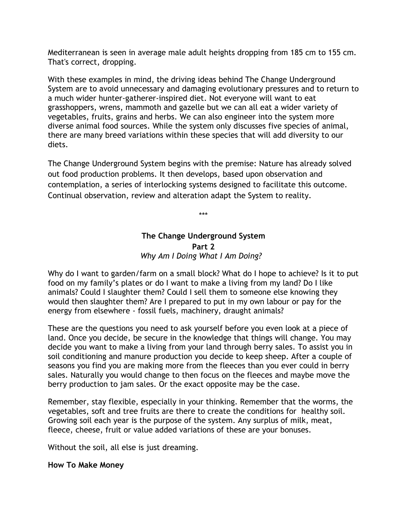Mediterranean is seen in average male adult heights dropping from 185 cm to 155 cm. That's correct, dropping.

With these examples in mind, the driving ideas behind The Change Underground System are to avoid unnecessary and damaging evolutionary pressures and to return to a much wider hunter-gatherer-inspired diet. Not everyone will want to eat grasshoppers, wrens, mammoth and gazelle but we can all eat a wider variety of vegetables, fruits, grains and herbs. We can also engineer into the system more diverse animal food sources. While the system only discusses five species of animal, there are many breed variations within these species that will add diversity to our diets.

The Change Underground System begins with the premise: Nature has already solved out food production problems. It then develops, based upon observation and contemplation, a series of interlocking systems designed to facilitate this outcome. Continual observation, review and alteration adapt the System to reality.

\*\*\*

## **The Change Underground System Part 2** *Why Am I Doing What I Am Doing?*

Why do I want to garden/farm on a small block? What do I hope to achieve? Is it to put food on my family's plates or do I want to make a living from my land? Do I like animals? Could I slaughter them? Could I sell them to someone else knowing they would then slaughter them? Are I prepared to put in my own labour or pay for the energy from elsewhere - fossil fuels, machinery, draught animals?

These are the questions you need to ask yourself before you even look at a piece of land. Once you decide, be secure in the knowledge that things will change. You may decide you want to make a living from your land through berry sales. To assist you in soil conditioning and manure production you decide to keep sheep. After a couple of seasons you find you are making more from the fleeces than you ever could in berry sales. Naturally you would change to then focus on the fleeces and maybe move the berry production to jam sales. Or the exact opposite may be the case.

Remember, stay flexible, especially in your thinking. Remember that the worms, the vegetables, soft and tree fruits are there to create the conditions for healthy soil. Growing soil each year is the purpose of the system. Any surplus of milk, meat, fleece, cheese, fruit or value added variations of these are your bonuses.

Without the soil, all else is just dreaming.

# **How To Make Money**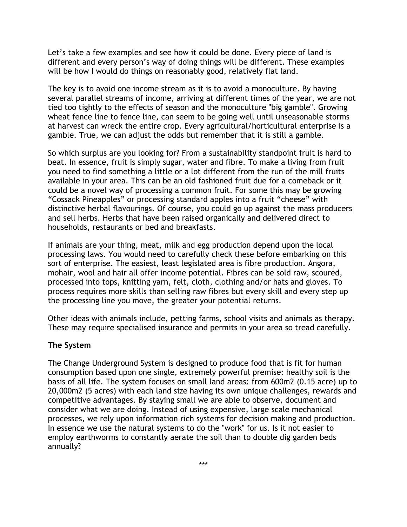Let's take a few examples and see how it could be done. Every piece of land is different and every person's way of doing things will be different. These examples will be how I would do things on reasonably good, relatively flat land.

The key is to avoid one income stream as it is to avoid a monoculture. By having several parallel streams of income, arriving at different times of the year, we are not tied too tightly to the effects of season and the monoculture "big gamble". Growing wheat fence line to fence line, can seem to be going well until unseasonable storms at harvest can wreck the entire crop. Every agricultural/horticultural enterprise is a gamble. True, we can adjust the odds but remember that it is still a gamble.

So which surplus are you looking for? From a sustainability standpoint fruit is hard to beat. In essence, fruit is simply sugar, water and fibre. To make a living from fruit you need to find something a little or a lot different from the run of the mill fruits available in your area. This can be an old fashioned fruit due for a comeback or it could be a novel way of processing a common fruit. For some this may be growing "Cossack Pineapples" or processing standard apples into a fruit "cheese" with distinctive herbal flavourings. Of course, you could go up against the mass producers and sell herbs. Herbs that have been raised organically and delivered direct to households, restaurants or bed and breakfasts.

If animals are your thing, meat, milk and egg production depend upon the local processing laws. You would need to carefully check these before embarking on this sort of enterprise. The easiest, least legislated area is fibre production. Angora, mohair, wool and hair all offer income potential. Fibres can be sold raw, scoured, processed into tops, knitting yarn, felt, cloth, clothing and/or hats and gloves. To process requires more skills than selling raw fibres but every skill and every step up the processing line you move, the greater your potential returns.

Other ideas with animals include, petting farms, school visits and animals as therapy. These may require specialised insurance and permits in your area so tread carefully.

### **The System**

The Change Underground System is designed to produce food that is fit for human consumption based upon one single, extremely powerful premise: healthy soil is the basis of all life. The system focuses on small land areas: from 600m2 (0.15 acre) up to 20,000m2 (5 acres) with each land size having its own unique challenges, rewards and competitive advantages. By staying small we are able to observe, document and consider what we are doing. Instead of using expensive, large scale mechanical processes, we rely upon information rich systems for decision making and production. In essence we use the natural systems to do the "work" for us. Is it not easier to employ earthworms to constantly aerate the soil than to double dig garden beds annually?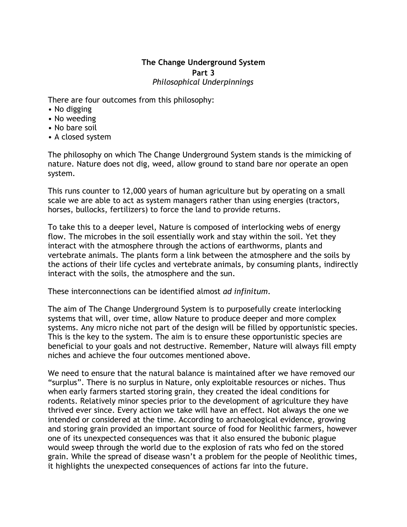# **The Change Underground System Part 3** *Philosophical Underpinnings*

There are four outcomes from this philosophy:

- No digging
- No weeding
- No bare soil
- A closed system

The philosophy on which The Change Underground System stands is the mimicking of nature. Nature does not dig, weed, allow ground to stand bare nor operate an open system.

This runs counter to 12,000 years of human agriculture but by operating on a small scale we are able to act as system managers rather than using energies (tractors, horses, bullocks, fertilizers) to force the land to provide returns.

To take this to a deeper level, Nature is composed of interlocking webs of energy flow. The microbes in the soil essentially work and stay within the soil. Yet they interact with the atmosphere through the actions of earthworms, plants and vertebrate animals. The plants form a link between the atmosphere and the soils by the actions of their life cycles and vertebrate animals, by consuming plants, indirectly interact with the soils, the atmosphere and the sun.

These interconnections can be identified almost *ad infinitum*.

The aim of The Change Underground System is to purposefully create interlocking systems that will, over time, allow Nature to produce deeper and more complex systems. Any micro niche not part of the design will be filled by opportunistic species. This is the key to the system. The aim is to ensure these opportunistic species are beneficial to your goals and not destructive. Remember, Nature will always fill empty niches and achieve the four outcomes mentioned above.

We need to ensure that the natural balance is maintained after we have removed our "surplus". There is no surplus in Nature, only exploitable resources or niches. Thus when early farmers started storing grain, they created the ideal conditions for rodents. Relatively minor species prior to the development of agriculture they have thrived ever since. Every action we take will have an effect. Not always the one we intended or considered at the time. According to archaeological evidence, growing and storing grain provided an important source of food for Neolithic farmers, however one of its unexpected consequences was that it also ensured the bubonic plague would sweep through the world due to the explosion of rats who fed on the stored grain. While the spread of disease wasn't a problem for the people of Neolithic times, it highlights the unexpected consequences of actions far into the future.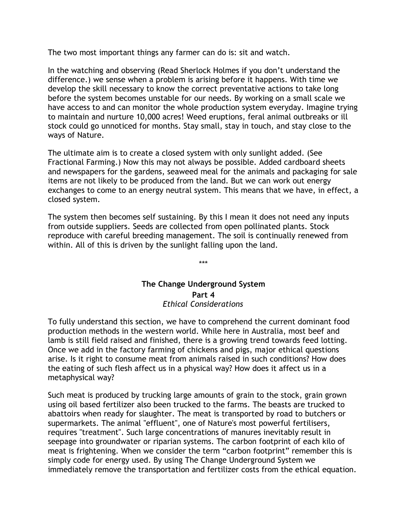The two most important things any farmer can do is: sit and watch.

In the watching and observing (Read Sherlock Holmes if you don't understand the difference.) we sense when a problem is arising before it happens. With time we develop the skill necessary to know the correct preventative actions to take long before the system becomes unstable for our needs. By working on a small scale we have access to and can monitor the whole production system everyday. Imagine trying to maintain and nurture 10,000 acres! Weed eruptions, feral animal outbreaks or ill stock could go unnoticed for months. Stay small, stay in touch, and stay close to the ways of Nature.

The ultimate aim is to create a closed system with only sunlight added. (See Fractional Farming.) Now this may not always be possible. Added cardboard sheets and newspapers for the gardens, seaweed meal for the animals and packaging for sale items are not likely to be produced from the land. But we can work out energy exchanges to come to an energy neutral system. This means that we have, in effect, a closed system.

The system then becomes self sustaining. By this I mean it does not need any inputs from outside suppliers. Seeds are collected from open pollinated plants. Stock reproduce with careful breeding management. The soil is continually renewed from within. All of this is driven by the sunlight falling upon the land.

> **The Change Underground System Part 4** *Ethical Considerations*

\*\*\*

To fully understand this section, we have to comprehend the current dominant food production methods in the western world. While here in Australia, most beef and lamb is still field raised and finished, there is a growing trend towards feed lotting. Once we add in the factory farming of chickens and pigs, major ethical questions arise. Is it right to consume meat from animals raised in such conditions? How does the eating of such flesh affect us in a physical way? How does it affect us in a metaphysical way?

Such meat is produced by trucking large amounts of grain to the stock, grain grown using oil based fertilizer also been trucked to the farms. The beasts are trucked to abattoirs when ready for slaughter. The meat is transported by road to butchers or supermarkets. The animal "effluent", one of Nature's most powerful fertilisers, requires "treatment". Such large concentrations of manures inevitably result in seepage into groundwater or riparian systems. The carbon footprint of each kilo of meat is frightening. When we consider the term "carbon footprint" remember this is simply code for energy used. By using The Change Underground System we immediately remove the transportation and fertilizer costs from the ethical equation.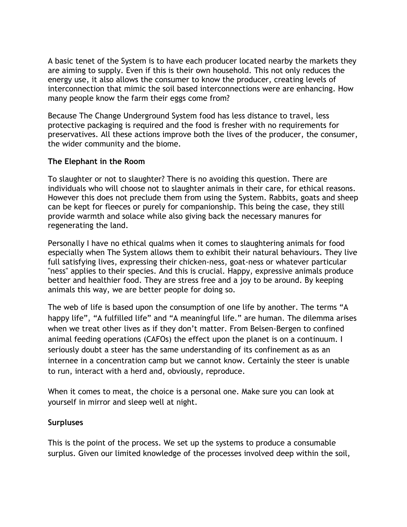A basic tenet of the System is to have each producer located nearby the markets they are aiming to supply. Even if this is their own household. This not only reduces the energy use, it also allows the consumer to know the producer, creating levels of interconnection that mimic the soil based interconnections were are enhancing. How many people know the farm their eggs come from?

Because The Change Underground System food has less distance to travel, less protective packaging is required and the food is fresher with no requirements for preservatives. All these actions improve both the lives of the producer, the consumer, the wider community and the biome.

### **The Elephant in the Room**

To slaughter or not to slaughter? There is no avoiding this question. There are individuals who will choose not to slaughter animals in their care, for ethical reasons. However this does not preclude them from using the System. Rabbits, goats and sheep can be kept for fleeces or purely for companionship. This being the case, they still provide warmth and solace while also giving back the necessary manures for regenerating the land.

Personally I have no ethical qualms when it comes to slaughtering animals for food especially when The System allows them to exhibit their natural behaviours. They live full satisfying lives, expressing their chicken-ness, goat-ness or whatever particular "ness" applies to their species. And this is crucial. Happy, expressive animals produce better and healthier food. They are stress free and a joy to be around. By keeping animals this way, we are better people for doing so.

The web of life is based upon the consumption of one life by another. The terms "A happy life", "A fulfilled life" and "A meaningful life." are human. The dilemma arises when we treat other lives as if they don't matter. From Belsen-Bergen to confined animal feeding operations (CAFOs) the effect upon the planet is on a continuum. I seriously doubt a steer has the same understanding of its confinement as as an internee in a concentration camp but we cannot know. Certainly the steer is unable to run, interact with a herd and, obviously, reproduce.

When it comes to meat, the choice is a personal one. Make sure you can look at yourself in mirror and sleep well at night.

### **Surpluses**

This is the point of the process. We set up the systems to produce a consumable surplus. Given our limited knowledge of the processes involved deep within the soil,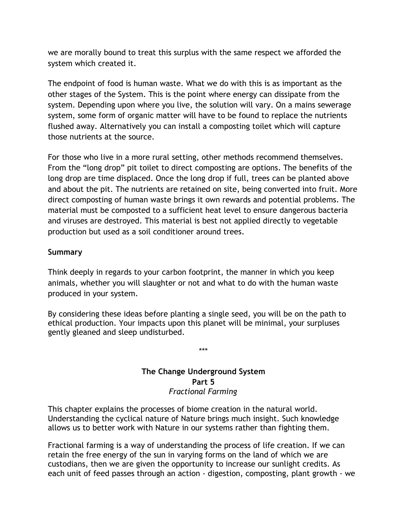we are morally bound to treat this surplus with the same respect we afforded the system which created it.

The endpoint of food is human waste. What we do with this is as important as the other stages of the System. This is the point where energy can dissipate from the system. Depending upon where you live, the solution will vary. On a mains sewerage system, some form of organic matter will have to be found to replace the nutrients flushed away. Alternatively you can install a composting toilet which will capture those nutrients at the source.

For those who live in a more rural setting, other methods recommend themselves. From the "long drop" pit toilet to direct composting are options. The benefits of the long drop are time displaced. Once the long drop if full, trees can be planted above and about the pit. The nutrients are retained on site, being converted into fruit. More direct composting of human waste brings it own rewards and potential problems. The material must be composted to a sufficient heat level to ensure dangerous bacteria and viruses are destroyed. This material is best not applied directly to vegetable production but used as a soil conditioner around trees.

# **Summary**

Think deeply in regards to your carbon footprint, the manner in which you keep animals, whether you will slaughter or not and what to do with the human waste produced in your system.

By considering these ideas before planting a single seed, you will be on the path to ethical production. Your impacts upon this planet will be minimal, your surpluses gently gleaned and sleep undisturbed.

## **The Change Underground System Part 5** *Fractional Farming*

\*\*\*

This chapter explains the processes of biome creation in the natural world. Understanding the cyclical nature of Nature brings much insight. Such knowledge allows us to better work with Nature in our systems rather than fighting them.

Fractional farming is a way of understanding the process of life creation. If we can retain the free energy of the sun in varying forms on the land of which we are custodians, then we are given the opportunity to increase our sunlight credits. As each unit of feed passes through an action - digestion, composting, plant growth - we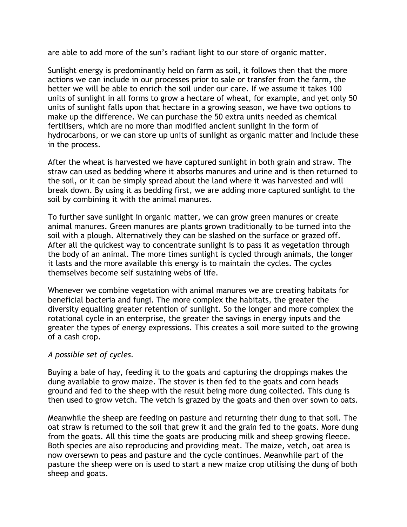are able to add more of the sun's radiant light to our store of organic matter.

Sunlight energy is predominantly held on farm as soil, it follows then that the more actions we can include in our processes prior to sale or transfer from the farm, the better we will be able to enrich the soil under our care. If we assume it takes 100 units of sunlight in all forms to grow a hectare of wheat, for example, and yet only 50 units of sunlight falls upon that hectare in a growing season, we have two options to make up the difference. We can purchase the 50 extra units needed as chemical fertilisers, which are no more than modified ancient sunlight in the form of hydrocarbons, or we can store up units of sunlight as organic matter and include these in the process.

After the wheat is harvested we have captured sunlight in both grain and straw. The straw can used as bedding where it absorbs manures and urine and is then returned to the soil, or it can be simply spread about the land where it was harvested and will break down. By using it as bedding first, we are adding more captured sunlight to the soil by combining it with the animal manures.

To further save sunlight in organic matter, we can grow green manures or create animal manures. Green manures are plants grown traditionally to be turned into the soil with a plough. Alternatively they can be slashed on the surface or grazed off. After all the quickest way to concentrate sunlight is to pass it as vegetation through the body of an animal. The more times sunlight is cycled through animals, the longer it lasts and the more available this energy is to maintain the cycles. The cycles themselves become self sustaining webs of life.

Whenever we combine vegetation with animal manures we are creating habitats for beneficial bacteria and fungi. The more complex the habitats, the greater the diversity equalling greater retention of sunlight. So the longer and more complex the rotational cycle in an enterprise, the greater the savings in energy inputs and the greater the types of energy expressions. This creates a soil more suited to the growing of a cash crop.

### *A possible set of cycles.*

Buying a bale of hay, feeding it to the goats and capturing the droppings makes the dung available to grow maize. The stover is then fed to the goats and corn heads ground and fed to the sheep with the result being more dung collected. This dung is then used to grow vetch. The vetch is grazed by the goats and then over sown to oats.

Meanwhile the sheep are feeding on pasture and returning their dung to that soil. The oat straw is returned to the soil that grew it and the grain fed to the goats. More dung from the goats. All this time the goats are producing milk and sheep growing fleece. Both species are also reproducing and providing meat. The maize, vetch, oat area is now oversewn to peas and pasture and the cycle continues. Meanwhile part of the pasture the sheep were on is used to start a new maize crop utilising the dung of both sheep and goats.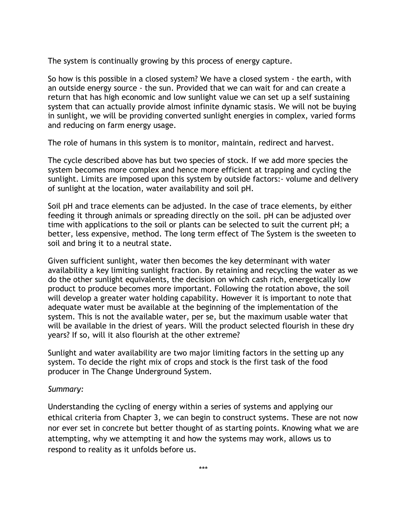The system is continually growing by this process of energy capture.

So how is this possible in a closed system? We have a closed system - the earth, with an outside energy source - the sun. Provided that we can wait for and can create a return that has high economic and low sunlight value we can set up a self sustaining system that can actually provide almost infinite dynamic stasis. We will not be buying in sunlight, we will be providing converted sunlight energies in complex, varied forms and reducing on farm energy usage.

The role of humans in this system is to monitor, maintain, redirect and harvest.

The cycle described above has but two species of stock. If we add more species the system becomes more complex and hence more efficient at trapping and cycling the sunlight. Limits are imposed upon this system by outside factors:- volume and delivery of sunlight at the location, water availability and soil pH.

Soil pH and trace elements can be adjusted. In the case of trace elements, by either feeding it through animals or spreading directly on the soil. pH can be adjusted over time with applications to the soil or plants can be selected to suit the current pH; a better, less expensive, method. The long term effect of The System is the sweeten to soil and bring it to a neutral state.

Given sufficient sunlight, water then becomes the key determinant with water availability a key limiting sunlight fraction. By retaining and recycling the water as we do the other sunlight equivalents, the decision on which cash rich, energetically low product to produce becomes more important. Following the rotation above, the soil will develop a greater water holding capability. However it is important to note that adequate water must be available at the beginning of the implementation of the system. This is not the available water, per se, but the maximum usable water that will be available in the driest of years. Will the product selected flourish in these dry years? If so, will it also flourish at the other extreme?

Sunlight and water availability are two major limiting factors in the setting up any system. To decide the right mix of crops and stock is the first task of the food producer in The Change Underground System.

### *Summary:*

Understanding the cycling of energy within a series of systems and applying our ethical criteria from Chapter 3, we can begin to construct systems. These are not now nor ever set in concrete but better thought of as starting points. Knowing what we are attempting, why we attempting it and how the systems may work, allows us to respond to reality as it unfolds before us.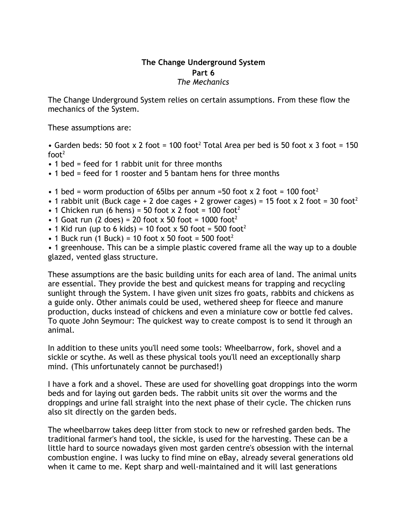## **The Change Underground System Part 6** *The Mechanics*

The Change Underground System relies on certain assumptions. From these flow the mechanics of the System.

These assumptions are:

• Garden beds: 50 foot x 2 foot = 100 foot<sup>2</sup> Total Area per bed is 50 foot x 3 foot = 150  $foot<sup>2</sup>$ 

- 1 bed = feed for 1 rabbit unit for three months
- 1 bed = feed for 1 rooster and 5 bantam hens for three months
- 1 bed = worm production of 65lbs per annum =50 foot  $\times$  2 foot = 100 foot<sup>2</sup>
- 1 rabbit unit (Buck cage + 2 doe cages + 2 grower cages) = 15 foot x 2 foot = 30 foot<sup>2</sup>
- 1 Chicken run (6 hens) = 50 foot x 2 foot = 100 foot<sup>2</sup>
- 1 Goat run (2 does) = 20 foot x 50 foot = 1000 foot<sup>2</sup>
- 1 Kid run (up to 6 kids) = 10 foot  $\times$  50 foot = 500 foot<sup>2</sup>
- 1 Buck run (1 Buck) = 10 foot  $\times$  50 foot = 500 foot<sup>2</sup>

• 1 greenhouse. This can be a simple plastic covered frame all the way up to a double glazed, vented glass structure.

These assumptions are the basic building units for each area of land. The animal units are essential. They provide the best and quickest means for trapping and recycling sunlight through the System. I have given unit sizes fro goats, rabbits and chickens as a guide only. Other animals could be used, wethered sheep for fleece and manure production, ducks instead of chickens and even a miniature cow or bottle fed calves. To quote John Seymour: The quickest way to create compost is to send it through an animal.

In addition to these units you'll need some tools: Wheelbarrow, fork, shovel and a sickle or scythe. As well as these physical tools you'll need an exceptionally sharp mind. (This unfortunately cannot be purchased!)

I have a fork and a shovel. These are used for shovelling goat droppings into the worm beds and for laying out garden beds. The rabbit units sit over the worms and the droppings and urine fall straight into the next phase of their cycle. The chicken runs also sit directly on the garden beds.

The wheelbarrow takes deep litter from stock to new or refreshed garden beds. The traditional farmer's hand tool, the sickle, is used for the harvesting. These can be a little hard to source nowadays given most garden centre's obsession with the internal combustion engine. I was lucky to find mine on eBay, already several generations old when it came to me. Kept sharp and well-maintained and it will last generations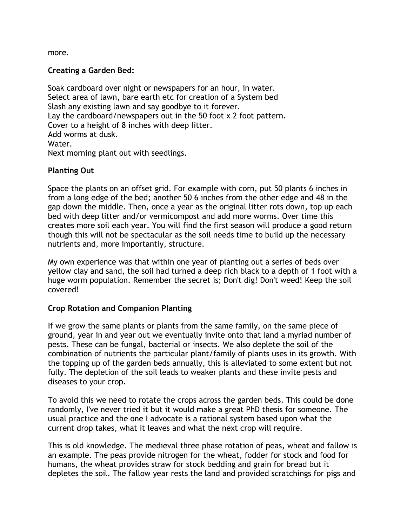more.

## **Creating a Garden Bed:**

Soak cardboard over night or newspapers for an hour, in water. Select area of lawn, bare earth etc for creation of a System bed Slash any existing lawn and say goodbye to it forever. Lay the cardboard/newspapers out in the 50 foot x 2 foot pattern. Cover to a height of 8 inches with deep litter. Add worms at dusk. Water. Next morning plant out with seedlings.

### **Planting Out**

Space the plants on an offset grid. For example with corn, put 50 plants 6 inches in from a long edge of the bed; another 50 6 inches from the other edge and 48 in the gap down the middle. Then, once a year as the original litter rots down, top up each bed with deep litter and/or vermicompost and add more worms. Over time this creates more soil each year. You will find the first season will produce a good return though this will not be spectacular as the soil needs time to build up the necessary nutrients and, more importantly, structure.

My own experience was that within one year of planting out a series of beds over yellow clay and sand, the soil had turned a deep rich black to a depth of 1 foot with a huge worm population. Remember the secret is; Don't dig! Don't weed! Keep the soil covered!

### **Crop Rotation and Companion Planting**

If we grow the same plants or plants from the same family, on the same piece of ground, year in and year out we eventually invite onto that land a myriad number of pests. These can be fungal, bacterial or insects. We also deplete the soil of the combination of nutrients the particular plant/family of plants uses in its growth. With the topping up of the garden beds annually, this is alleviated to some extent but not fully. The depletion of the soil leads to weaker plants and these invite pests and diseases to your crop.

To avoid this we need to rotate the crops across the garden beds. This could be done randomly, I've never tried it but it would make a great PhD thesis for someone. The usual practice and the one I advocate is a rational system based upon what the current drop takes, what it leaves and what the next crop will require.

This is old knowledge. The medieval three phase rotation of peas, wheat and fallow is an example. The peas provide nitrogen for the wheat, fodder for stock and food for humans, the wheat provides straw for stock bedding and grain for bread but it depletes the soil. The fallow year rests the land and provided scratchings for pigs and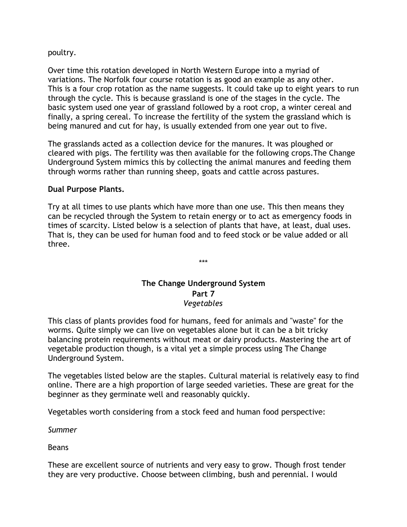#### poultry.

Over time this rotation developed in North Western Europe into a myriad of variations. The Norfolk four course rotation is as good an example as any other. This is a four crop rotation as the name suggests. It could take up to eight years to run through the cycle. This is because grassland is one of the stages in the cycle. The basic system used one year of grassland followed by a root crop, a winter cereal and finally, a spring cereal. To increase the fertility of the system the grassland which is being manured and cut for hay, is usually extended from one year out to five.

The grasslands acted as a collection device for the manures. It was ploughed or cleared with pigs. The fertility was then available for the following crops.The Change Underground System mimics this by collecting the animal manures and feeding them through worms rather than running sheep, goats and cattle across pastures.

### **Dual Purpose Plants.**

Try at all times to use plants which have more than one use. This then means they can be recycled through the System to retain energy or to act as emergency foods in times of scarcity. Listed below is a selection of plants that have, at least, dual uses. That is, they can be used for human food and to feed stock or be value added or all three.

> **The Change Underground System Part 7** *Vegetables*

\*\*\*

This class of plants provides food for humans, feed for animals and "waste" for the worms. Quite simply we can live on vegetables alone but it can be a bit tricky balancing protein requirements without meat or dairy products. Mastering the art of vegetable production though, is a vital yet a simple process using The Change Underground System.

The vegetables listed below are the staples. Cultural material is relatively easy to find online. There are a high proportion of large seeded varieties. These are great for the beginner as they germinate well and reasonably quickly.

Vegetables worth considering from a stock feed and human food perspective:

*Summer*

Beans

These are excellent source of nutrients and very easy to grow. Though frost tender they are very productive. Choose between climbing, bush and perennial. I would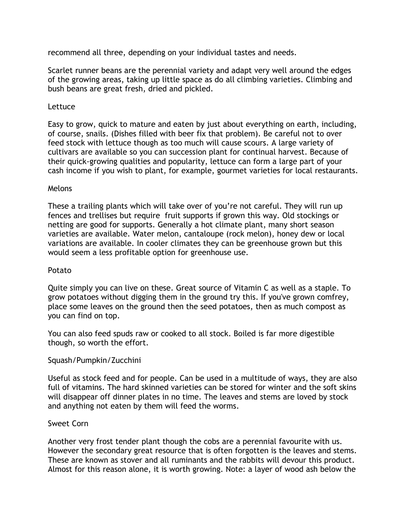recommend all three, depending on your individual tastes and needs.

Scarlet runner beans are the perennial variety and adapt very well around the edges of the growing areas, taking up little space as do all climbing varieties. Climbing and bush beans are great fresh, dried and pickled.

## Lettuce

Easy to grow, quick to mature and eaten by just about everything on earth, including, of course, snails. (Dishes filled with beer fix that problem). Be careful not to over feed stock with lettuce though as too much will cause scours. A large variety of cultivars are available so you can succession plant for continual harvest. Because of their quick-growing qualities and popularity, lettuce can form a large part of your cash income if you wish to plant, for example, gourmet varieties for local restaurants.

### Melons

These a trailing plants which will take over of you're not careful. They will run up fences and trellises but require fruit supports if grown this way. Old stockings or netting are good for supports. Generally a hot climate plant, many short season varieties are available. Water melon, cantaloupe (rock melon), honey dew or local variations are available. In cooler climates they can be greenhouse grown but this would seem a less profitable option for greenhouse use.

### Potato

Quite simply you can live on these. Great source of Vitamin C as well as a staple. To grow potatoes without digging them in the ground try this. If you've grown comfrey, place some leaves on the ground then the seed potatoes, then as much compost as you can find on top.

You can also feed spuds raw or cooked to all stock. Boiled is far more digestible though, so worth the effort.

# Squash/Pumpkin/Zucchini

Useful as stock feed and for people. Can be used in a multitude of ways, they are also full of vitamins. The hard skinned varieties can be stored for winter and the soft skins will disappear off dinner plates in no time. The leaves and stems are loved by stock and anything not eaten by them will feed the worms.

# Sweet Corn

Another very frost tender plant though the cobs are a perennial favourite with us. However the secondary great resource that is often forgotten is the leaves and stems. These are known as stover and all ruminants and the rabbits will devour this product. Almost for this reason alone, it is worth growing. Note: a layer of wood ash below the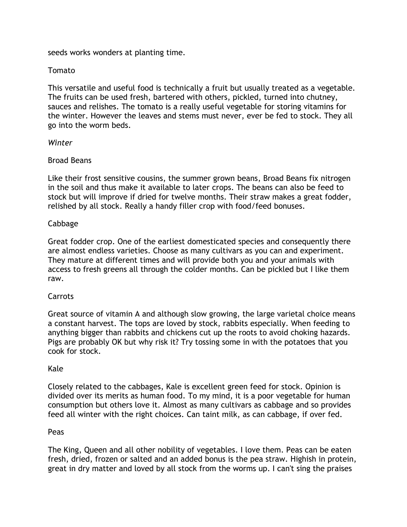seeds works wonders at planting time.

## Tomato

This versatile and useful food is technically a fruit but usually treated as a vegetable. The fruits can be used fresh, bartered with others, pickled, turned into chutney, sauces and relishes. The tomato is a really useful vegetable for storing vitamins for the winter. However the leaves and stems must never, ever be fed to stock. They all go into the worm beds.

## *Winter*

## Broad Beans

Like their frost sensitive cousins, the summer grown beans, Broad Beans fix nitrogen in the soil and thus make it available to later crops. The beans can also be feed to stock but will improve if dried for twelve months. Their straw makes a great fodder, relished by all stock. Really a handy filler crop with food/feed bonuses.

## Cabbage

Great fodder crop. One of the earliest domesticated species and consequently there are almost endless varieties. Choose as many cultivars as you can and experiment. They mature at different times and will provide both you and your animals with access to fresh greens all through the colder months. Can be pickled but I like them raw.

# Carrots

Great source of vitamin A and although slow growing, the large varietal choice means a constant harvest. The tops are loved by stock, rabbits especially. When feeding to anything bigger than rabbits and chickens cut up the roots to avoid choking hazards. Pigs are probably OK but why risk it? Try tossing some in with the potatoes that you cook for stock.

# Kale

Closely related to the cabbages, Kale is excellent green feed for stock. Opinion is divided over its merits as human food. To my mind, it is a poor vegetable for human consumption but others love it. Almost as many cultivars as cabbage and so provides feed all winter with the right choices. Can taint milk, as can cabbage, if over fed.

### Peas

The King, Queen and all other nobility of vegetables. I love them. Peas can be eaten fresh, dried, frozen or salted and an added bonus is the pea straw. Highish in protein, great in dry matter and loved by all stock from the worms up. I can't sing the praises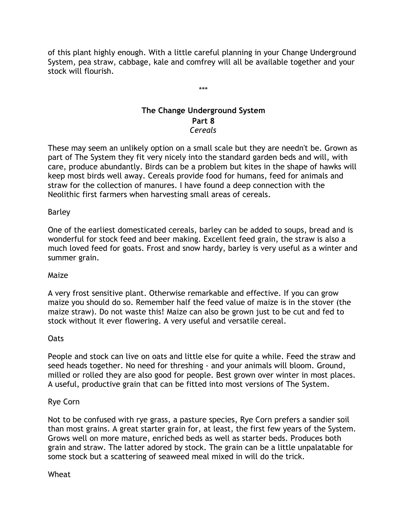of this plant highly enough. With a little careful planning in your Change Underground System, pea straw, cabbage, kale and comfrey will all be available together and your stock will flourish.

\*\*\*

# **The Change Underground System Part 8** *Cereals*

These may seem an unlikely option on a small scale but they are needn't be. Grown as part of The System they fit very nicely into the standard garden beds and will, with care, produce abundantly. Birds can be a problem but kites in the shape of hawks will keep most birds well away. Cereals provide food for humans, feed for animals and straw for the collection of manures. I have found a deep connection with the Neolithic first farmers when harvesting small areas of cereals.

# Barley

One of the earliest domesticated cereals, barley can be added to soups, bread and is wonderful for stock feed and beer making. Excellent feed grain, the straw is also a much loved feed for goats. Frost and snow hardy, barley is very useful as a winter and summer grain.

### Maize

A very frost sensitive plant. Otherwise remarkable and effective. If you can grow maize you should do so. Remember half the feed value of maize is in the stover (the maize straw). Do not waste this! Maize can also be grown just to be cut and fed to stock without it ever flowering. A very useful and versatile cereal.

### Oats

People and stock can live on oats and little else for quite a while. Feed the straw and seed heads together. No need for threshing - and your animals will bloom. Ground, milled or rolled they are also good for people. Best grown over winter in most places. A useful, productive grain that can be fitted into most versions of The System.

# Rye Corn

Not to be confused with rye grass, a pasture species, Rye Corn prefers a sandier soil than most grains. A great starter grain for, at least, the first few years of the System. Grows well on more mature, enriched beds as well as starter beds. Produces both grain and straw. The latter adored by stock. The grain can be a little unpalatable for some stock but a scattering of seaweed meal mixed in will do the trick.

### Wheat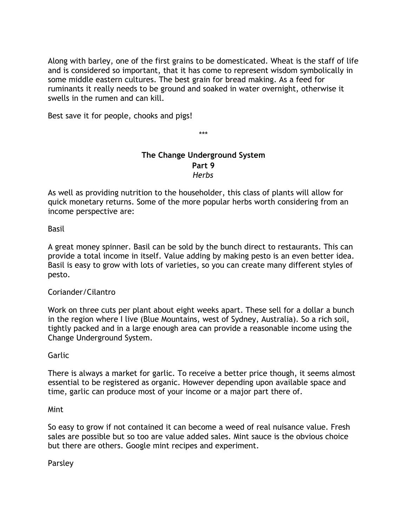Along with barley, one of the first grains to be domesticated. Wheat is the staff of life and is considered so important, that it has come to represent wisdom symbolically in some middle eastern cultures. The best grain for bread making. As a feed for ruminants it really needs to be ground and soaked in water overnight, otherwise it swells in the rumen and can kill.

Best save it for people, chooks and pigs!

\*\*\*

# **The Change Underground System Part 9** *Herbs*

As well as providing nutrition to the householder, this class of plants will allow for quick monetary returns. Some of the more popular herbs worth considering from an income perspective are:

Basil

A great money spinner. Basil can be sold by the bunch direct to restaurants. This can provide a total income in itself. Value adding by making pesto is an even better idea. Basil is easy to grow with lots of varieties, so you can create many different styles of pesto.

# Coriander/Cilantro

Work on three cuts per plant about eight weeks apart. These sell for a dollar a bunch in the region where I live (Blue Mountains, west of Sydney, Australia). So a rich soil, tightly packed and in a large enough area can provide a reasonable income using the Change Underground System.

Garlic

There is always a market for garlic. To receive a better price though, it seems almost essential to be registered as organic. However depending upon available space and time, garlic can produce most of your income or a major part there of.

Mint

So easy to grow if not contained it can become a weed of real nuisance value. Fresh sales are possible but so too are value added sales. Mint sauce is the obvious choice but there are others. Google mint recipes and experiment.

Parsley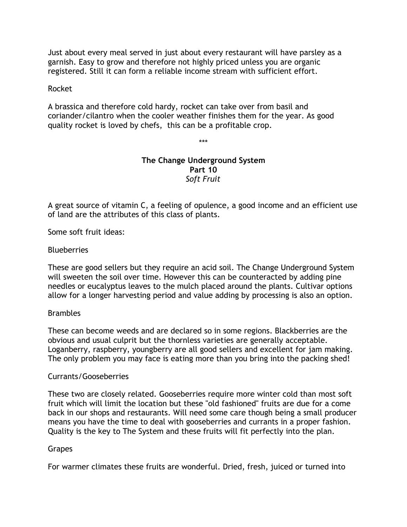Just about every meal served in just about every restaurant will have parsley as a garnish. Easy to grow and therefore not highly priced unless you are organic registered. Still it can form a reliable income stream with sufficient effort.

#### Rocket

A brassica and therefore cold hardy, rocket can take over from basil and coriander/cilantro when the cooler weather finishes them for the year. As good quality rocket is loved by chefs, this can be a profitable crop.

\*\*\*

## **The Change Underground System Part 10** *Soft Fruit*

A great source of vitamin C, a feeling of opulence, a good income and an efficient use of land are the attributes of this class of plants.

Some soft fruit ideas:

### **Blueberries**

These are good sellers but they require an acid soil. The Change Underground System will sweeten the soil over time. However this can be counteracted by adding pine needles or eucalyptus leaves to the mulch placed around the plants. Cultivar options allow for a longer harvesting period and value adding by processing is also an option.

#### **Brambles**

These can become weeds and are declared so in some regions. Blackberries are the obvious and usual culprit but the thornless varieties are generally acceptable. Loganberry, raspberry, youngberry are all good sellers and excellent for jam making. The only problem you may face is eating more than you bring into the packing shed!

#### Currants/Gooseberries

These two are closely related. Gooseberries require more winter cold than most soft fruit which will limit the location but these "old fashioned" fruits are due for a come back in our shops and restaurants. Will need some care though being a small producer means you have the time to deal with gooseberries and currants in a proper fashion. Quality is the key to The System and these fruits will fit perfectly into the plan.

### Grapes

For warmer climates these fruits are wonderful. Dried, fresh, juiced or turned into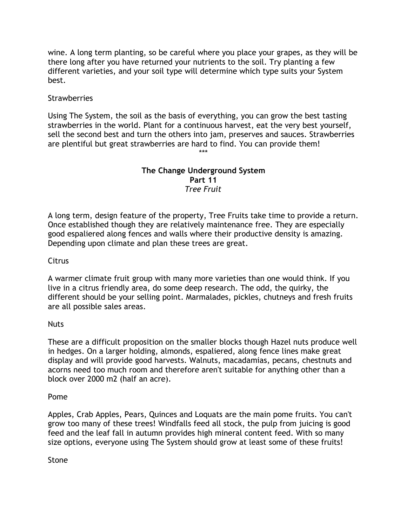wine. A long term planting, so be careful where you place your grapes, as they will be there long after you have returned your nutrients to the soil. Try planting a few different varieties, and your soil type will determine which type suits your System best.

## **Strawberries**

Using The System, the soil as the basis of everything, you can grow the best tasting strawberries in the world. Plant for a continuous harvest, eat the very best yourself, sell the second best and turn the others into jam, preserves and sauces. Strawberries are plentiful but great strawberries are hard to find. You can provide them! \*\*\*

> **The Change Underground System Part 11** *Tree Fruit*

A long term, design feature of the property, Tree Fruits take time to provide a return. Once established though they are relatively maintenance free. They are especially good espaliered along fences and walls where their productive density is amazing. Depending upon climate and plan these trees are great.

### **Citrus**

A warmer climate fruit group with many more varieties than one would think. If you live in a citrus friendly area, do some deep research. The odd, the quirky, the different should be your selling point. Marmalades, pickles, chutneys and fresh fruits are all possible sales areas.

#### Nuts

These are a difficult proposition on the smaller blocks though Hazel nuts produce well in hedges. On a larger holding, almonds, espaliered, along fence lines make great display and will provide good harvests. Walnuts, macadamias, pecans, chestnuts and acorns need too much room and therefore aren't suitable for anything other than a block over 2000 m2 (half an acre).

#### Pome

Apples, Crab Apples, Pears, Quinces and Loquats are the main pome fruits. You can't grow too many of these trees! Windfalls feed all stock, the pulp from juicing is good feed and the leaf fall in autumn provides high mineral content feed. With so many size options, everyone using The System should grow at least some of these fruits!

Stone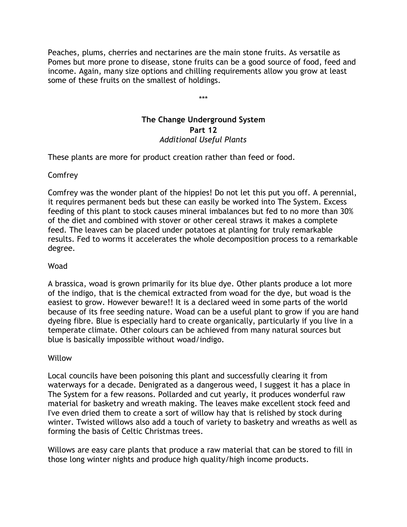Peaches, plums, cherries and nectarines are the main stone fruits. As versatile as Pomes but more prone to disease, stone fruits can be a good source of food, feed and income. Again, many size options and chilling requirements allow you grow at least some of these fruits on the smallest of holdings.

\*\*\*

# **The Change Underground System Part 12** *Additional Useful Plants*

These plants are more for product creation rather than feed or food.

## Comfrey

Comfrey was the wonder plant of the hippies! Do not let this put you off. A perennial, it requires permanent beds but these can easily be worked into The System. Excess feeding of this plant to stock causes mineral imbalances but fed to no more than 30% of the diet and combined with stover or other cereal straws it makes a complete feed. The leaves can be placed under potatoes at planting for truly remarkable results. Fed to worms it accelerates the whole decomposition process to a remarkable degree.

## Woad

A brassica, woad is grown primarily for its blue dye. Other plants produce a lot more of the indigo, that is the chemical extracted from woad for the dye, but woad is the easiest to grow. However beware!! It is a declared weed in some parts of the world because of its free seeding nature. Woad can be a useful plant to grow if you are hand dyeing fibre. Blue is especially hard to create organically, particularly if you live in a temperate climate. Other colours can be achieved from many natural sources but blue is basically impossible without woad/indigo.

### Willow

Local councils have been poisoning this plant and successfully clearing it from waterways for a decade. Denigrated as a dangerous weed, I suggest it has a place in The System for a few reasons. Pollarded and cut yearly, it produces wonderful raw material for basketry and wreath making. The leaves make excellent stock feed and I've even dried them to create a sort of willow hay that is relished by stock during winter. Twisted willows also add a touch of variety to basketry and wreaths as well as forming the basis of Celtic Christmas trees.

Willows are easy care plants that produce a raw material that can be stored to fill in those long winter nights and produce high quality/high income products.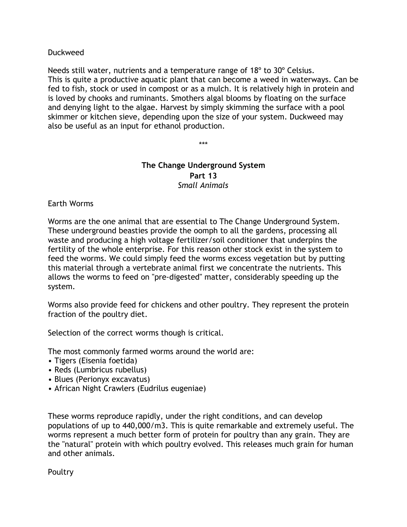## Duckweed

Needs still water, nutrients and a temperature range of 18º to 30º Celsius. This is quite a productive aquatic plant that can become a weed in waterways. Can be fed to fish, stock or used in compost or as a mulch. It is relatively high in protein and is loved by chooks and ruminants. Smothers algal blooms by floating on the surface and denying light to the algae. Harvest by simply skimming the surface with a pool skimmer or kitchen sieve, depending upon the size of your system. Duckweed may also be useful as an input for ethanol production.

\*\*\*

## **The Change Underground System Part 13** *Small Animals*

### Earth Worms

Worms are the one animal that are essential to The Change Underground System. These underground beasties provide the oomph to all the gardens, processing all waste and producing a high voltage fertilizer/soil conditioner that underpins the fertility of the whole enterprise. For this reason other stock exist in the system to feed the worms. We could simply feed the worms excess vegetation but by putting this material through a vertebrate animal first we concentrate the nutrients. This allows the worms to feed on "pre-digested" matter, considerably speeding up the system.

Worms also provide feed for chickens and other poultry. They represent the protein fraction of the poultry diet.

Selection of the correct worms though is critical.

The most commonly farmed worms around the world are:

- Tigers (Eisenia foetida)
- Reds (Lumbricus rubellus)
- Blues (Perionyx excavatus)
- African Night Crawlers (Eudrilus eugeniae)

These worms reproduce rapidly, under the right conditions, and can develop populations of up to 440,000/m3. This is quite remarkable and extremely useful. The worms represent a much better form of protein for poultry than any grain. They are the "natural" protein with which poultry evolved. This releases much grain for human and other animals.

Poultry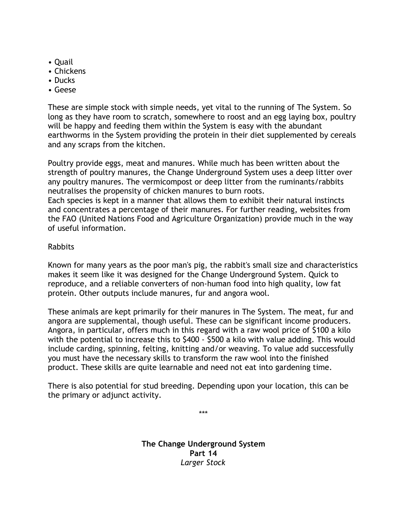- Quail
- Chickens
- Ducks
- Geese

These are simple stock with simple needs, yet vital to the running of The System. So long as they have room to scratch, somewhere to roost and an egg laying box, poultry will be happy and feeding them within the System is easy with the abundant earthworms in the System providing the protein in their diet supplemented by cereals and any scraps from the kitchen.

Poultry provide eggs, meat and manures. While much has been written about the strength of poultry manures, the Change Underground System uses a deep litter over any poultry manures. The vermicompost or deep litter from the ruminants/rabbits neutralises the propensity of chicken manures to burn roots.

Each species is kept in a manner that allows them to exhibit their natural instincts and concentrates a percentage of their manures. For further reading, websites from the FAO (United Nations Food and Agriculture Organization) provide much in the way of useful information.

# Rabbits

Known for many years as the poor man's pig, the rabbit's small size and characteristics makes it seem like it was designed for the Change Underground System. Quick to reproduce, and a reliable converters of non-human food into high quality, low fat protein. Other outputs include manures, fur and angora wool.

These animals are kept primarily for their manures in The System. The meat, fur and angora are supplemental, though useful. These can be significant income producers. Angora, in particular, offers much in this regard with a raw wool price of \$100 a kilo with the potential to increase this to \$400 - \$500 a kilo with value adding. This would include carding, spinning, felting, knitting and/or weaving. To value add successfully you must have the necessary skills to transform the raw wool into the finished product. These skills are quite learnable and need not eat into gardening time.

There is also potential for stud breeding. Depending upon your location, this can be the primary or adjunct activity.

> **The Change Underground System Part 14** *Larger Stock*

\*\*\*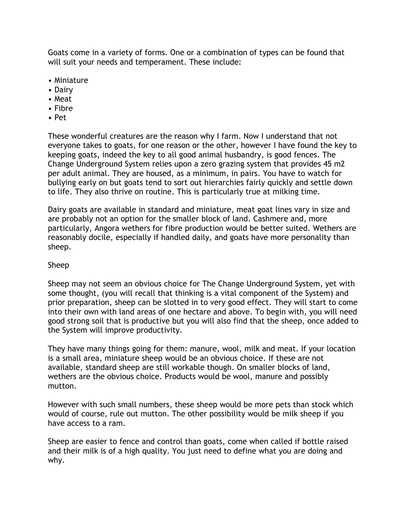Goats come in a variety of forms. One or a combination of types can be found that will suit your needs and temperament. These include:

- Miniature
- Dairy
- Meat
- Fibre
- Pet

These wonderful creatures are the reason why I farm. Now I understand that not everyone takes to goats, for one reason or the other, however I have found the key to keeping goats, indeed the key to all good animal husbandry, is good fences. The Change Underground System relies upon a zero grazing system that provides 45 m2 per adult animal. They are housed, as a minimum, in pairs. You have to watch for bullying early on but goats tend to sort out hierarchies fairly quickly and settle down to life. They also thrive on routine. This is particularly true at milking time.

Dairy goats are available in standard and miniature, meat goat lines vary in size and are probably not an option for the smaller block of land. Cashmere and, more particularly, Angora wethers for fibre production would be better suited. Wethers are reasonably docile, especially if handled daily, and goats have more personality than sheep.

## Sheep

Sheep may not seem an obvious choice for The Change Underground System, yet with some thought, (you will recall that thinking is a vital component of the System) and prior preparation, sheep can be slotted in to very good effect. They will start to come into their own with land areas of one hectare and above. To begin with, you will need good strong soil that is productive but you will also find that the sheep, once added to the System will improve productivity.

They have many things going for them: manure, wool, milk and meat. If your location is a small area, miniature sheep would be an obvious choice. If these are not available, standard sheep are still workable though. On smaller blocks of land, wethers are the obvious choice. Products would be wool, manure and possibly mutton.

However with such small numbers, these sheep would be more pets than stock which would of course, rule out mutton. The other possibility would be milk sheep if you have access to a ram.

Sheep are easier to fence and control than goats, come when called if bottle raised and their milk is of a high quality. You just need to define what you are doing and why.